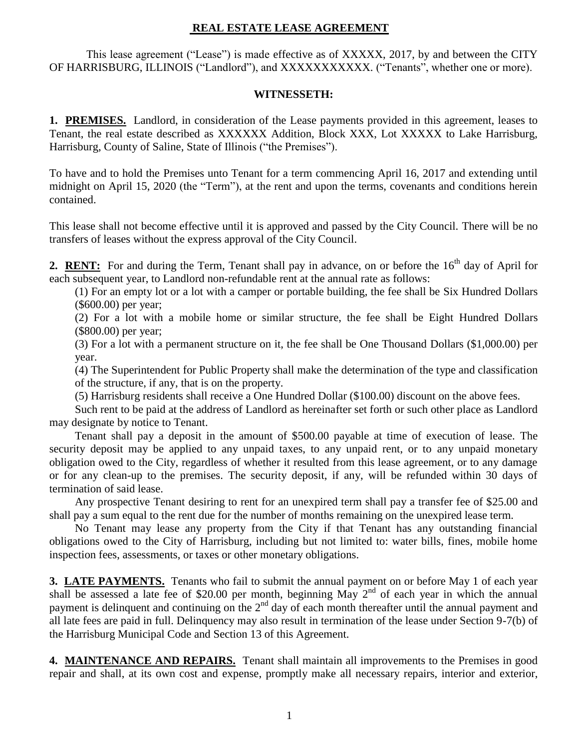## **REAL ESTATE LEASE AGREEMENT**

 This lease agreement ("Lease") is made effective as of XXXXX, 2017, by and between the CITY OF HARRISBURG, ILLINOIS ("Landlord"), and XXXXXXXXXXX. ("Tenants", whether one or more).

## **WITNESSETH:**

**1. PREMISES.** Landlord, in consideration of the Lease payments provided in this agreement, leases to Tenant, the real estate described as XXXXXX Addition, Block XXX, Lot XXXXX to Lake Harrisburg, Harrisburg, County of Saline, State of Illinois ("the Premises").

To have and to hold the Premises unto Tenant for a term commencing April 16, 2017 and extending until midnight on April 15, 2020 (the "Term"), at the rent and upon the terms, covenants and conditions herein contained.

This lease shall not become effective until it is approved and passed by the City Council. There will be no transfers of leases without the express approval of the City Council.

2. **RENT:** For and during the Term, Tenant shall pay in advance, on or before the 16<sup>th</sup> day of April for each subsequent year, to Landlord non-refundable rent at the annual rate as follows:

(1) For an empty lot or a lot with a camper or portable building, the fee shall be Six Hundred Dollars (\$600.00) per year;

(2) For a lot with a mobile home or similar structure, the fee shall be Eight Hundred Dollars (\$800.00) per year;

(3) For a lot with a permanent structure on it, the fee shall be One Thousand Dollars (\$1,000.00) per year.

(4) The Superintendent for Public Property shall make the determination of the type and classification of the structure, if any, that is on the property.

(5) Harrisburg residents shall receive a One Hundred Dollar (\$100.00) discount on the above fees.

Such rent to be paid at the address of Landlord as hereinafter set forth or such other place as Landlord may designate by notice to Tenant.

Tenant shall pay a deposit in the amount of \$500.00 payable at time of execution of lease. The security deposit may be applied to any unpaid taxes, to any unpaid rent, or to any unpaid monetary obligation owed to the City, regardless of whether it resulted from this lease agreement, or to any damage or for any clean-up to the premises. The security deposit, if any, will be refunded within 30 days of termination of said lease.

Any prospective Tenant desiring to rent for an unexpired term shall pay a transfer fee of \$25.00 and shall pay a sum equal to the rent due for the number of months remaining on the unexpired lease term.

No Tenant may lease any property from the City if that Tenant has any outstanding financial obligations owed to the City of Harrisburg, including but not limited to: water bills, fines, mobile home inspection fees, assessments, or taxes or other monetary obligations.

**3. LATE PAYMENTS.** Tenants who fail to submit the annual payment on or before May 1 of each year shall be assessed a late fee of \$20.00 per month, beginning May 2<sup>nd</sup> of each year in which the annual payment is delinquent and continuing on the 2<sup>nd</sup> day of each month thereafter until the annual payment and all late fees are paid in full. Delinquency may also result in termination of the lease under Section 9-7(b) of the Harrisburg Municipal Code and Section 13 of this Agreement.

**4. MAINTENANCE AND REPAIRS.** Tenant shall maintain all improvements to the Premises in good repair and shall, at its own cost and expense, promptly make all necessary repairs, interior and exterior,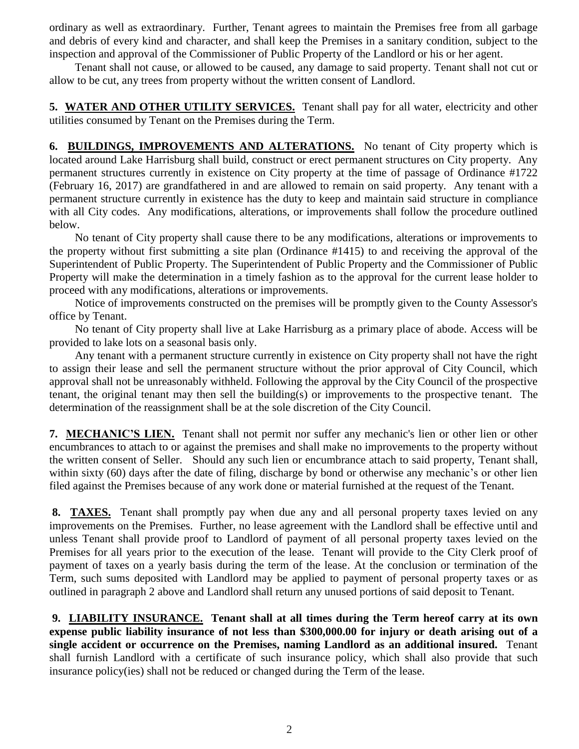ordinary as well as extraordinary. Further, Tenant agrees to maintain the Premises free from all garbage and debris of every kind and character, and shall keep the Premises in a sanitary condition, subject to the inspection and approval of the Commissioner of Public Property of the Landlord or his or her agent.

Tenant shall not cause, or allowed to be caused, any damage to said property. Tenant shall not cut or allow to be cut, any trees from property without the written consent of Landlord.

**5. WATER AND OTHER UTILITY SERVICES.** Tenant shall pay for all water, electricity and other utilities consumed by Tenant on the Premises during the Term.

**6. BUILDINGS, IMPROVEMENTS AND ALTERATIONS.** No tenant of City property which is located around Lake Harrisburg shall build, construct or erect permanent structures on City property. Any permanent structures currently in existence on City property at the time of passage of Ordinance #1722 (February 16, 2017) are grandfathered in and are allowed to remain on said property. Any tenant with a permanent structure currently in existence has the duty to keep and maintain said structure in compliance with all City codes. Any modifications, alterations, or improvements shall follow the procedure outlined below.

No tenant of City property shall cause there to be any modifications, alterations or improvements to the property without first submitting a site plan (Ordinance #1415) to and receiving the approval of the Superintendent of Public Property. The Superintendent of Public Property and the Commissioner of Public Property will make the determination in a timely fashion as to the approval for the current lease holder to proceed with any modifications, alterations or improvements.

Notice of improvements constructed on the premises will be promptly given to the County Assessor's office by Tenant.

No tenant of City property shall live at Lake Harrisburg as a primary place of abode. Access will be provided to lake lots on a seasonal basis only.

Any tenant with a permanent structure currently in existence on City property shall not have the right to assign their lease and sell the permanent structure without the prior approval of City Council, which approval shall not be unreasonably withheld. Following the approval by the City Council of the prospective tenant, the original tenant may then sell the building(s) or improvements to the prospective tenant. The determination of the reassignment shall be at the sole discretion of the City Council.

**7. MECHANIC'S LIEN.** Tenant shall not permit nor suffer any mechanic's lien or other lien or other encumbrances to attach to or against the premises and shall make no improvements to the property without the written consent of Seller. Should any such lien or encumbrance attach to said property, Tenant shall, within sixty (60) days after the date of filing, discharge by bond or otherwise any mechanic's or other lien filed against the Premises because of any work done or material furnished at the request of the Tenant.

**8. TAXES.** Tenant shall promptly pay when due any and all personal property taxes levied on any improvements on the Premises. Further, no lease agreement with the Landlord shall be effective until and unless Tenant shall provide proof to Landlord of payment of all personal property taxes levied on the Premises for all years prior to the execution of the lease. Tenant will provide to the City Clerk proof of payment of taxes on a yearly basis during the term of the lease. At the conclusion or termination of the Term, such sums deposited with Landlord may be applied to payment of personal property taxes or as outlined in paragraph 2 above and Landlord shall return any unused portions of said deposit to Tenant.

**9. LIABILITY INSURANCE. Tenant shall at all times during the Term hereof carry at its own expense public liability insurance of not less than \$300,000.00 for injury or death arising out of a single accident or occurrence on the Premises, naming Landlord as an additional insured.** Tenant shall furnish Landlord with a certificate of such insurance policy, which shall also provide that such insurance policy(ies) shall not be reduced or changed during the Term of the lease.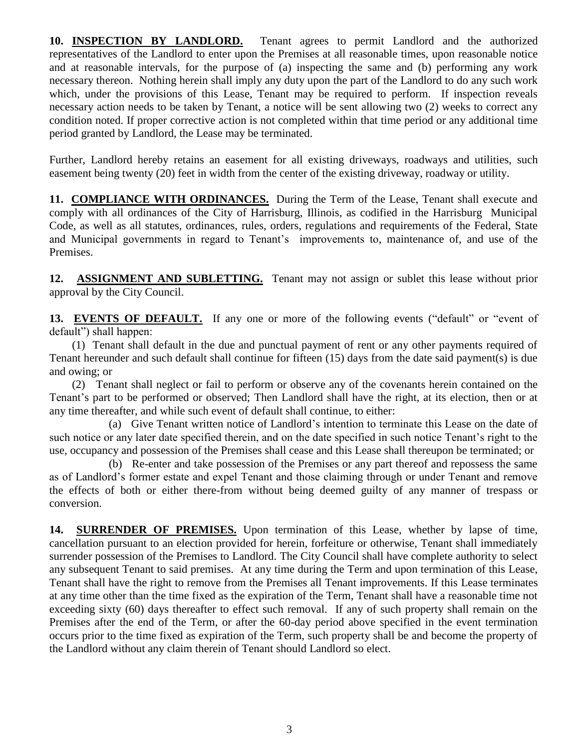**10. INSPECTION BY LANDLORD.** Tenant agrees to permit Landlord and the authorized representatives of the Landlord to enter upon the Premises at all reasonable times, upon reasonable notice and at reasonable intervals, for the purpose of (a) inspecting the same and (b) performing any work necessary thereon. Nothing herein shall imply any duty upon the part of the Landlord to do any such work which, under the provisions of this Lease, Tenant may be required to perform. If inspection reveals necessary action needs to be taken by Tenant, a notice will be sent allowing two (2) weeks to correct any condition noted. If proper corrective action is not completed within that time period or any additional time period granted by Landlord, the Lease may be terminated.

Further, Landlord hereby retains an easement for all existing driveways, roadways and utilities, such easement being twenty (20) feet in width from the center of the existing driveway, roadway or utility.

**11. COMPLIANCE WITH ORDINANCES.** During the Term of the Lease, Tenant shall execute and comply with all ordinances of the City of Harrisburg, Illinois, as codified in the Harrisburg Municipal Code, as well as all statutes, ordinances, rules, orders, regulations and requirements of the Federal, State and Municipal governments in regard to Tenant's improvements to, maintenance of, and use of the Premises.

**12. ASSIGNMENT AND SUBLETTING.** Tenant may not assign or sublet this lease without prior approval by the City Council.

13. EVENTS OF DEFAULT. If any one or more of the following events ("default" or "event of default") shall happen:

 (1) Tenant shall default in the due and punctual payment of rent or any other payments required of Tenant hereunder and such default shall continue for fifteen (15) days from the date said payment(s) is due and owing; or

 (2) Tenant shall neglect or fail to perform or observe any of the covenants herein contained on the Tenant's part to be performed or observed; Then Landlord shall have the right, at its election, then or at any time thereafter, and while such event of default shall continue, to either:

 (a) Give Tenant written notice of Landlord's intention to terminate this Lease on the date of such notice or any later date specified therein, and on the date specified in such notice Tenant's right to the use, occupancy and possession of the Premises shall cease and this Lease shall thereupon be terminated; or

 (b) Re-enter and take possession of the Premises or any part thereof and repossess the same as of Landlord's former estate and expel Tenant and those claiming through or under Tenant and remove the effects of both or either there-from without being deemed guilty of any manner of trespass or conversion.

**14. SURRENDER OF PREMISES.** Upon termination of this Lease, whether by lapse of time, cancellation pursuant to an election provided for herein, forfeiture or otherwise, Tenant shall immediately surrender possession of the Premises to Landlord. The City Council shall have complete authority to select any subsequent Tenant to said premises. At any time during the Term and upon termination of this Lease, Tenant shall have the right to remove from the Premises all Tenant improvements. If this Lease terminates at any time other than the time fixed as the expiration of the Term, Tenant shall have a reasonable time not exceeding sixty (60) days thereafter to effect such removal. If any of such property shall remain on the Premises after the end of the Term, or after the 60-day period above specified in the event termination occurs prior to the time fixed as expiration of the Term, such property shall be and become the property of the Landlord without any claim therein of Tenant should Landlord so elect.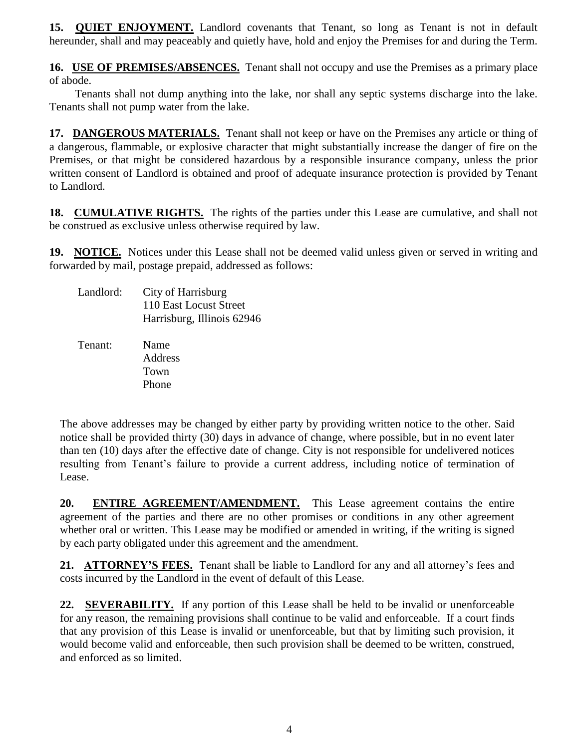**15. QUIET ENJOYMENT.** Landlord covenants that Tenant, so long as Tenant is not in default hereunder, shall and may peaceably and quietly have, hold and enjoy the Premises for and during the Term.

**16. USE OF PREMISES/ABSENCES.** Tenant shall not occupy and use the Premises as a primary place of abode.

Tenants shall not dump anything into the lake, nor shall any septic systems discharge into the lake. Tenants shall not pump water from the lake.

**17. DANGEROUS MATERIALS.** Tenant shall not keep or have on the Premises any article or thing of a dangerous, flammable, or explosive character that might substantially increase the danger of fire on the Premises, or that might be considered hazardous by a responsible insurance company, unless the prior written consent of Landlord is obtained and proof of adequate insurance protection is provided by Tenant to Landlord.

**18. CUMULATIVE RIGHTS.** The rights of the parties under this Lease are cumulative, and shall not be construed as exclusive unless otherwise required by law.

**19. NOTICE.** Notices under this Lease shall not be deemed valid unless given or served in writing and forwarded by mail, postage prepaid, addressed as follows:

| Landlord: | City of Harrisburg         |
|-----------|----------------------------|
|           | 110 East Locust Street     |
|           | Harrisburg, Illinois 62946 |

 Tenant: Name Address Town Phone

The above addresses may be changed by either party by providing written notice to the other. Said notice shall be provided thirty (30) days in advance of change, where possible, but in no event later than ten (10) days after the effective date of change. City is not responsible for undelivered notices resulting from Tenant's failure to provide a current address, including notice of termination of Lease.

**20. ENTIRE AGREEMENT/AMENDMENT.** This Lease agreement contains the entire agreement of the parties and there are no other promises or conditions in any other agreement whether oral or written. This Lease may be modified or amended in writing, if the writing is signed by each party obligated under this agreement and the amendment.

**21. ATTORNEY'S FEES.** Tenant shall be liable to Landlord for any and all attorney's fees and costs incurred by the Landlord in the event of default of this Lease.

**22. SEVERABILITY.** If any portion of this Lease shall be held to be invalid or unenforceable for any reason, the remaining provisions shall continue to be valid and enforceable. If a court finds that any provision of this Lease is invalid or unenforceable, but that by limiting such provision, it would become valid and enforceable, then such provision shall be deemed to be written, construed, and enforced as so limited.